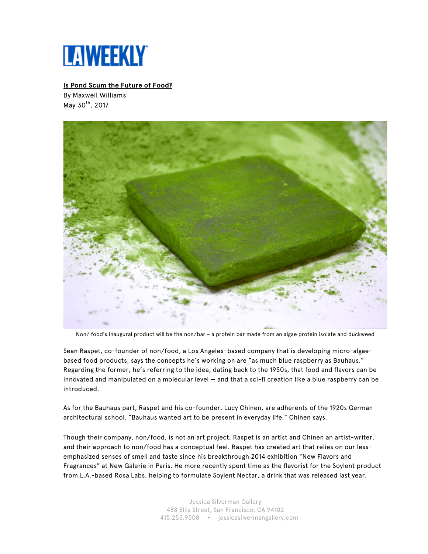

## **Is Pond Scum the Future of Food?**

By Maxwell Williams May  $30^{th}$ , 2017



Non/ food's inaugural product will be the non/bar – a protein bar made from an algae protein isolate and duckweed

Sean Raspet, co-founder of non/food, a Los Angeles–based company that is developing micro-algae– based food products, says the concepts he's working on are "as much blue raspberry as Bauhaus." Regarding the former, he's referring to the idea, dating back to the 1950s, that food and flavors can be innovated and manipulated on a molecular level — and that a sci-fi creation like a blue raspberry can be introduced.

As for the Bauhaus part, Raspet and his co-founder, Lucy Chinen, are adherents of the 1920s German architectural school. "Bauhaus wanted art to be present in everyday life," Chinen says.

Though their company, non/food, is not an art project, Raspet is an artist and Chinen an artist-writer, and their approach to non/food has a conceptual feel. Raspet has created art that relies on our lessemphasized senses of smell and taste since his breakthrough 2014 exhibition "New Flavors and Fragrances" at New Galerie in Paris. He more recently spent time as the flavorist for the Soylent product from L.A.-based Rosa Labs, helping to formulate Soylent Nectar, a drink that was released last year.